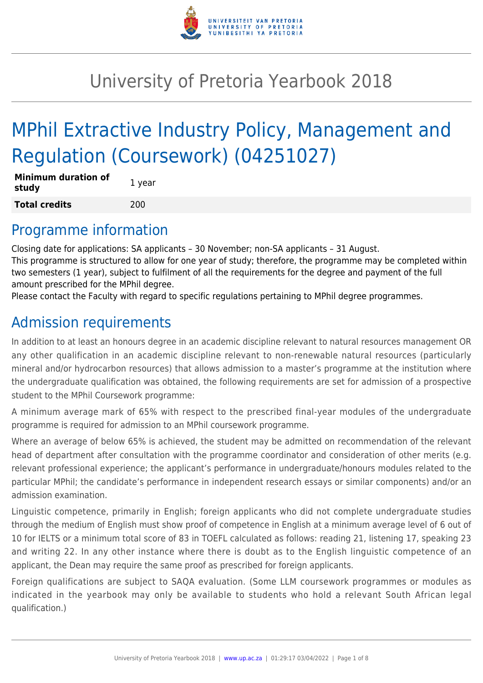

# University of Pretoria Yearbook 2018

# MPhil Extractive Industry Policy, Management and Regulation (Coursework) (04251027)

| <b>Minimum duration of</b><br>study | 1 year |
|-------------------------------------|--------|
| <b>Total credits</b>                | 200    |

# Programme information

Closing date for applications: SA applicants – 30 November; non-SA applicants – 31 August. This programme is structured to allow for one year of study; therefore, the programme may be completed within two semesters (1 year), subject to fulfilment of all the requirements for the degree and payment of the full amount prescribed for the MPhil degree.

Please contact the Faculty with regard to specific regulations pertaining to MPhil degree programmes.

# Admission requirements

In addition to at least an honours degree in an academic discipline relevant to natural resources management OR any other qualification in an academic discipline relevant to non-renewable natural resources (particularly mineral and/or hydrocarbon resources) that allows admission to a master's programme at the institution where the undergraduate qualification was obtained, the following requirements are set for admission of a prospective student to the MPhil Coursework programme:

A minimum average mark of 65% with respect to the prescribed final-year modules of the undergraduate programme is required for admission to an MPhil coursework programme.

Where an average of below 65% is achieved, the student may be admitted on recommendation of the relevant head of department after consultation with the programme coordinator and consideration of other merits (e.g. relevant professional experience; the applicant's performance in undergraduate/honours modules related to the particular MPhil; the candidate's performance in independent research essays or similar components) and/or an admission examination.

Linguistic competence, primarily in English; foreign applicants who did not complete undergraduate studies through the medium of English must show proof of competence in English at a minimum average level of 6 out of 10 for IELTS or a minimum total score of 83 in TOEFL calculated as follows: reading 21, listening 17, speaking 23 and writing 22. In any other instance where there is doubt as to the English linguistic competence of an applicant, the Dean may require the same proof as prescribed for foreign applicants.

Foreign qualifications are subject to SAQA evaluation. (Some LLM coursework programmes or modules as indicated in the yearbook may only be available to students who hold a relevant South African legal qualification.)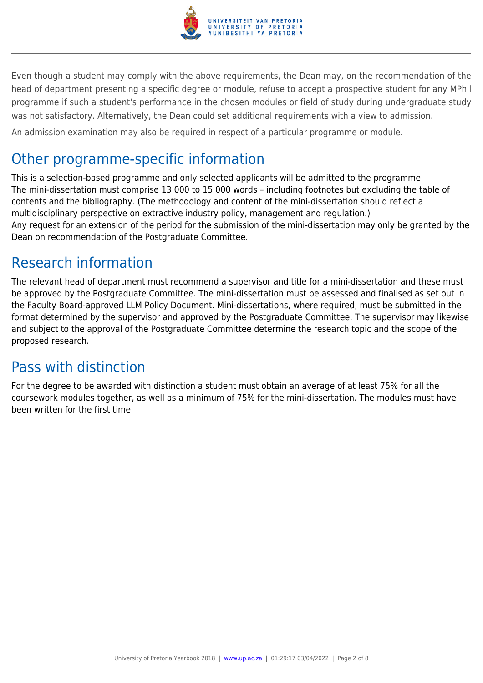

Even though a student may comply with the above requirements, the Dean may, on the recommendation of the head of department presenting a specific degree or module, refuse to accept a prospective student for any MPhil programme if such a student's performance in the chosen modules or field of study during undergraduate study was not satisfactory. Alternatively, the Dean could set additional requirements with a view to admission.

An admission examination may also be required in respect of a particular programme or module.

# Other programme-specific information

This is a selection-based programme and only selected applicants will be admitted to the programme. The mini-dissertation must comprise 13 000 to 15 000 words – including footnotes but excluding the table of contents and the bibliography. (The methodology and content of the mini-dissertation should reflect a multidisciplinary perspective on extractive industry policy, management and regulation.) Any request for an extension of the period for the submission of the mini-dissertation may only be granted by the Dean on recommendation of the Postgraduate Committee.

# Research information

The relevant head of department must recommend a supervisor and title for a mini-dissertation and these must be approved by the Postgraduate Committee. The mini-dissertation must be assessed and finalised as set out in the Faculty Board-approved LLM Policy Document. Mini-dissertations, where required, must be submitted in the format determined by the supervisor and approved by the Postgraduate Committee. The supervisor may likewise and subject to the approval of the Postgraduate Committee determine the research topic and the scope of the proposed research.

# Pass with distinction

For the degree to be awarded with distinction a student must obtain an average of at least 75% for all the coursework modules together, as well as a minimum of 75% for the mini-dissertation. The modules must have been written for the first time.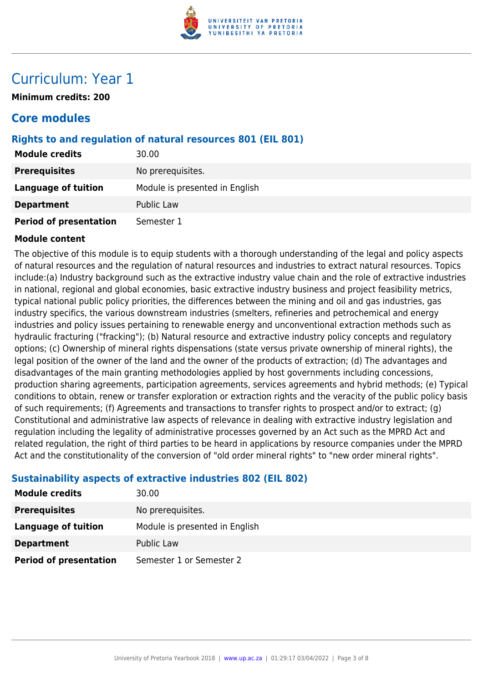

# Curriculum: Year 1

**Minimum credits: 200**

# **Core modules**

### **Rights to and regulation of natural resources 801 (EIL 801)**

| <b>Module credits</b>         | 30.00                          |
|-------------------------------|--------------------------------|
| <b>Prerequisites</b>          | No prerequisites.              |
| <b>Language of tuition</b>    | Module is presented in English |
| <b>Department</b>             | <b>Public Law</b>              |
| <b>Period of presentation</b> | Semester 1                     |

### **Module content**

The objective of this module is to equip students with a thorough understanding of the legal and policy aspects of natural resources and the regulation of natural resources and industries to extract natural resources. Topics include:(a) Industry background such as the extractive industry value chain and the role of extractive industries in national, regional and global economies, basic extractive industry business and project feasibility metrics, typical national public policy priorities, the differences between the mining and oil and gas industries, gas industry specifics, the various downstream industries (smelters, refineries and petrochemical and energy industries and policy issues pertaining to renewable energy and unconventional extraction methods such as hydraulic fracturing ("fracking"); (b) Natural resource and extractive industry policy concepts and regulatory options; (c) Ownership of mineral rights dispensations (state versus private ownership of mineral rights), the legal position of the owner of the land and the owner of the products of extraction; (d) The advantages and disadvantages of the main granting methodologies applied by host governments including concessions, production sharing agreements, participation agreements, services agreements and hybrid methods; (e) Typical conditions to obtain, renew or transfer exploration or extraction rights and the veracity of the public policy basis of such requirements; (f) Agreements and transactions to transfer rights to prospect and/or to extract; (g) Constitutional and administrative law aspects of relevance in dealing with extractive industry legislation and regulation including the legality of administrative processes governed by an Act such as the MPRD Act and related regulation, the right of third parties to be heard in applications by resource companies under the MPRD Act and the constitutionality of the conversion of "old order mineral rights" to "new order mineral rights".

# **Sustainability aspects of extractive industries 802 (EIL 802)**

| <b>Module credits</b>         | 30.00                          |
|-------------------------------|--------------------------------|
| <b>Prerequisites</b>          | No prerequisites.              |
| Language of tuition           | Module is presented in English |
| <b>Department</b>             | Public Law                     |
| <b>Period of presentation</b> | Semester 1 or Semester 2       |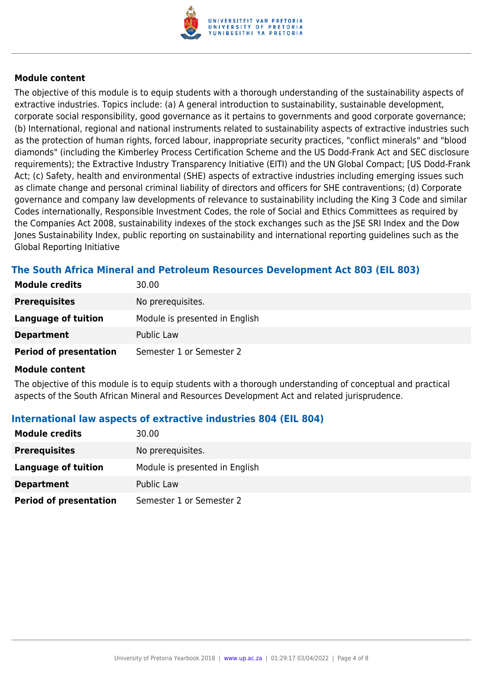

The objective of this module is to equip students with a thorough understanding of the sustainability aspects of extractive industries. Topics include: (a) A general introduction to sustainability, sustainable development, corporate social responsibility, good governance as it pertains to governments and good corporate governance; (b) International, regional and national instruments related to sustainability aspects of extractive industries such as the protection of human rights, forced labour, inappropriate security practices, "conflict minerals" and "blood diamonds" (including the Kimberley Process Certification Scheme and the US Dodd-Frank Act and SEC disclosure requirements); the Extractive Industry Transparency Initiative (EITI) and the UN Global Compact; [US Dodd-Frank Act; (c) Safety, health and environmental (SHE) aspects of extractive industries including emerging issues such as climate change and personal criminal liability of directors and officers for SHE contraventions; (d) Corporate governance and company law developments of relevance to sustainability including the King 3 Code and similar Codes internationally, Responsible Investment Codes, the role of Social and Ethics Committees as required by the Companies Act 2008, sustainability indexes of the stock exchanges such as the JSE SRI Index and the Dow Jones Sustainability Index, public reporting on sustainability and international reporting guidelines such as the Global Reporting Initiative

# **The South Africa Mineral and Petroleum Resources Development Act 803 (EIL 803)**

| <b>Module credits</b>         | 30.00                          |
|-------------------------------|--------------------------------|
| <b>Prerequisites</b>          | No prerequisites.              |
| Language of tuition           | Module is presented in English |
| <b>Department</b>             | Public Law                     |
| <b>Period of presentation</b> | Semester 1 or Semester 2       |

#### **Module content**

The objective of this module is to equip students with a thorough understanding of conceptual and practical aspects of the South African Mineral and Resources Development Act and related jurisprudence.

### **International law aspects of extractive industries 804 (EIL 804)**

| <b>Module credits</b>         | 30.00                          |
|-------------------------------|--------------------------------|
| <b>Prerequisites</b>          | No prerequisites.              |
| Language of tuition           | Module is presented in English |
| <b>Department</b>             | Public Law                     |
| <b>Period of presentation</b> | Semester 1 or Semester 2       |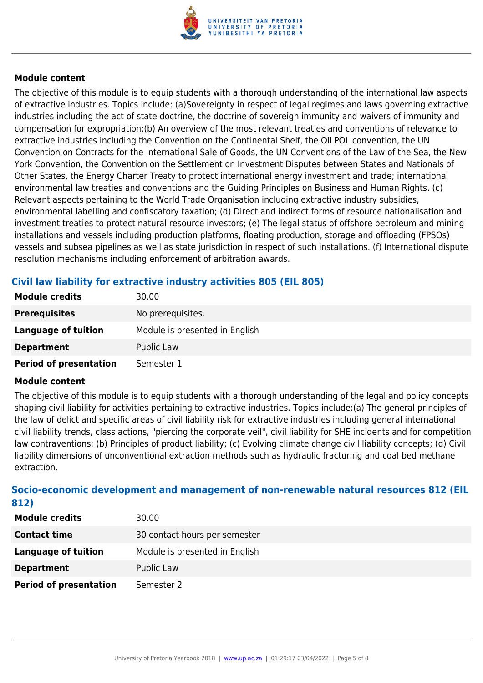

The objective of this module is to equip students with a thorough understanding of the international law aspects of extractive industries. Topics include: (a)Sovereignty in respect of legal regimes and laws governing extractive industries including the act of state doctrine, the doctrine of sovereign immunity and waivers of immunity and compensation for expropriation;(b) An overview of the most relevant treaties and conventions of relevance to extractive industries including the Convention on the Continental Shelf, the OILPOL convention, the UN Convention on Contracts for the International Sale of Goods, the UN Conventions of the Law of the Sea, the New York Convention, the Convention on the Settlement on Investment Disputes between States and Nationals of Other States, the Energy Charter Treaty to protect international energy investment and trade; international environmental law treaties and conventions and the Guiding Principles on Business and Human Rights. (c) Relevant aspects pertaining to the World Trade Organisation including extractive industry subsidies, environmental labelling and confiscatory taxation; (d) Direct and indirect forms of resource nationalisation and investment treaties to protect natural resource investors; (e) The legal status of offshore petroleum and mining installations and vessels including production platforms, floating production, storage and offloading (FPSOs) vessels and subsea pipelines as well as state jurisdiction in respect of such installations. (f) International dispute resolution mechanisms including enforcement of arbitration awards.

# **Civil law liability for extractive industry activities 805 (EIL 805)**

| <b>Module credits</b>         | 30.00                          |
|-------------------------------|--------------------------------|
| <b>Prerequisites</b>          | No prerequisites.              |
| Language of tuition           | Module is presented in English |
| <b>Department</b>             | Public Law                     |
| <b>Period of presentation</b> | Semester 1                     |

### **Module content**

The objective of this module is to equip students with a thorough understanding of the legal and policy concepts shaping civil liability for activities pertaining to extractive industries. Topics include:(a) The general principles of the law of delict and specific areas of civil liability risk for extractive industries including general international civil liability trends, class actions, "piercing the corporate veil", civil liability for SHE incidents and for competition law contraventions; (b) Principles of product liability; (c) Evolving climate change civil liability concepts; (d) Civil liability dimensions of unconventional extraction methods such as hydraulic fracturing and coal bed methane extraction.

### **Socio-economic development and management of non-renewable natural resources 812 (EIL 812)**

| <b>Module credits</b>         | 30.00                          |
|-------------------------------|--------------------------------|
| <b>Contact time</b>           | 30 contact hours per semester  |
| Language of tuition           | Module is presented in English |
| <b>Department</b>             | Public Law                     |
| <b>Period of presentation</b> | Semester 2                     |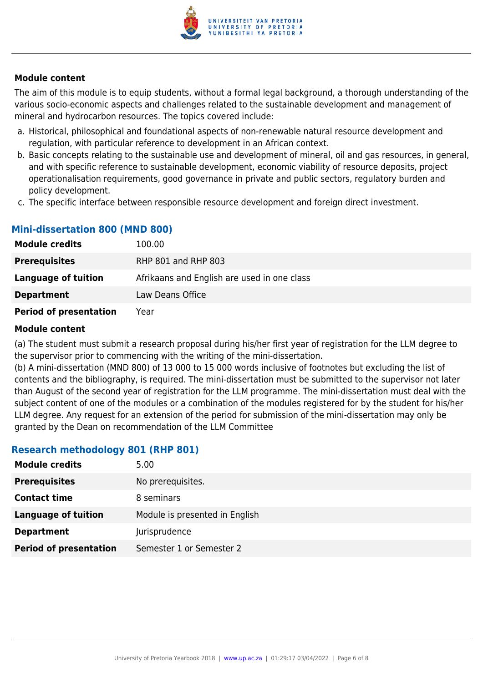

The aim of this module is to equip students, without a formal legal background, a thorough understanding of the various socio-economic aspects and challenges related to the sustainable development and management of mineral and hydrocarbon resources. The topics covered include:

- a. Historical, philosophical and foundational aspects of non-renewable natural resource development and regulation, with particular reference to development in an African context.
- b. Basic concepts relating to the sustainable use and development of mineral, oil and gas resources, in general, and with specific reference to sustainable development, economic viability of resource deposits, project operationalisation requirements, good governance in private and public sectors, regulatory burden and policy development.
- c. The specific interface between responsible resource development and foreign direct investment.

# **Mini-dissertation 800 (MND 800)**

| <b>Module credits</b>         | 100.00                                      |
|-------------------------------|---------------------------------------------|
| <b>Prerequisites</b>          | RHP 801 and RHP 803                         |
| Language of tuition           | Afrikaans and English are used in one class |
| <b>Department</b>             | Law Deans Office                            |
| <b>Period of presentation</b> | Year                                        |

#### **Module content**

(a) The student must submit a research proposal during his/her first year of registration for the LLM degree to the supervisor prior to commencing with the writing of the mini-dissertation.

(b) A mini-dissertation (MND 800) of 13 000 to 15 000 words inclusive of footnotes but excluding the list of contents and the bibliography, is required. The mini-dissertation must be submitted to the supervisor not later than August of the second year of registration for the LLM programme. The mini-dissertation must deal with the subject content of one of the modules or a combination of the modules registered for by the student for his/her LLM degree. Any request for an extension of the period for submission of the mini-dissertation may only be granted by the Dean on recommendation of the LLM Committee

# **Research methodology 801 (RHP 801)**

| <b>Module credits</b>         | 5.00                           |
|-------------------------------|--------------------------------|
| <b>Prerequisites</b>          | No prerequisites.              |
| <b>Contact time</b>           | 8 seminars                     |
| <b>Language of tuition</b>    | Module is presented in English |
| <b>Department</b>             | Jurisprudence                  |
| <b>Period of presentation</b> | Semester 1 or Semester 2       |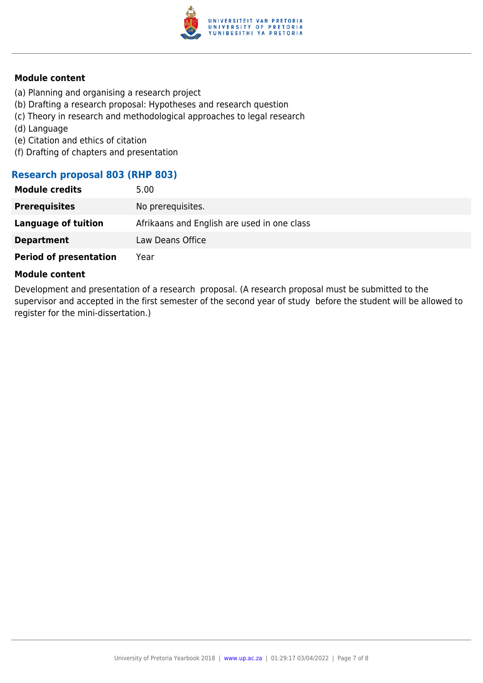

- (a) Planning and organising a research project
- (b) Drafting a research proposal: Hypotheses and research question
- (c) Theory in research and methodological approaches to legal research
- (d) Language
- (e) Citation and ethics of citation
- (f) Drafting of chapters and presentation

### **Research proposal 803 (RHP 803)**

| <b>Module credits</b>         | 5.00                                        |
|-------------------------------|---------------------------------------------|
| <b>Prerequisites</b>          | No prerequisites.                           |
| Language of tuition           | Afrikaans and English are used in one class |
| <b>Department</b>             | Law Deans Office                            |
| <b>Period of presentation</b> | Year                                        |

#### **Module content**

Development and presentation of a research proposal. (A research proposal must be submitted to the supervisor and accepted in the first semester of the second year of study before the student will be allowed to register for the mini-dissertation.)